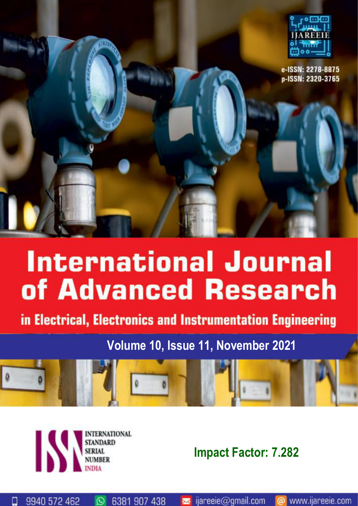

# **International Journal** of Advanced Research

in Electrical, Electronics and Instrumentation Engineering

**Volume 10, Issue 11, November 2021**



 $\circledcirc$ 

6381 907 438

9940 572 462

О

**Impact Factor: 7.282**

www.ijareeie.com

ijareeie@gmail.com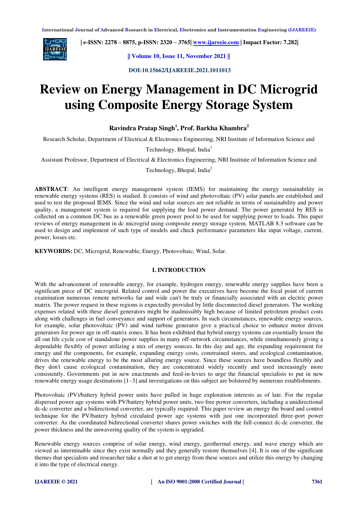

 **| e-ISSN: 2278 – 8875, p-ISSN: 2320 – 3765| [www.ijareeie.com](http://www.ijareeie.com/) | Impact Factor: 7.282|** 

**|| Volume 10, Issue 11, November 2021 ||** 

 **DOI:10.15662/IJAREEIE.2021.1011013** 

### **Review on Energy Management in DC Microgrid using Composite Energy Storage System**

#### **Ravindra Pratap Singh<sup>1</sup> , Prof. Barkha Khambra<sup>2</sup>**

Research Scholar, Department of Electrical & Electronics Engineering, NRI Institute of Information Science and

Technology, Bhopal, India<sup>1</sup>

Assistant Professor, Department of Electrical & Electronics Engineering, NRI Institute of Information Science and

Technology, Bhopal, India<sup>2</sup>

**ABSTRACT**: An intelligent energy management system (IEMS) for maintaining the energy sustainability in renewable energy systems (RES) is studied. It consists of wind and photovoltaic (PV) solar panels are established and used to test the proposed IEMS. Since the wind and solar sources are not reliable in terms of sustainability and power quality, a management system is required for supplying the load power demand. The power generated by RES is collected on a common DC bus as a renewable green power pool to be used for supplying power to loads. This paper reviews of energy management in dc microgrid using composite energy storage system. MATLAB 8.3 software can be used to design and implement of such type of models and check performance parameters like input voltage, current, power, losses etc.

**KEYWORDS:** DC, Microgrid, Renewable, Energy, Photovoltaic, Wind, Solar.

#### **I. INTRODUCTION**

With the advancement of renewable energy, for example, hydrogen energy, renewable energy supplies have been a significant piece of DC microgrid. Related control and power the executives have become the focal point of current examination numerous remote networks far and wide can't be truly or financially associated with an electric power matrix. The power request in these regions is expectedly provided by little disconnected diesel generators. The working expenses related with these diesel generators might be inadmissibly high because of limited petroleum product costs along with challenges in fuel conveyance and support of generators. In such circumstances, renewable energy sources, for example, solar photovoltaic (PV) and wind turbine generator give a practical choice to enhance motor driven generators for power age in off-matrix zones. It has been exhibited that hybrid energy systems can essentially lessen the all out life cycle cost of standalone power supplies in many off-network circumstances, while simultaneously giving a dependable flexibly of power utilizing a mix of energy sources. In this day and age, the expanding requirement for energy and the components, for example, expanding energy costs, constrained stores, and ecological contamination, drives the renewable energy to be the most alluring energy source. Since these sources have boundless flexibly and they don't cause ecological contamination, they are concentrated widely recently and used increasingly more consistently. Governments put in new enactments and feed-in-levies to urge the financial specialists to put in new renewable energy usage destinations [1–3] and investigations on this subject are bolstered by numerous establishments.

Photovoltaic (PV)/battery hybrid power units have pulled in huge exploration interests as of late. For the regular dispersed power age systems with PV/battery hybrid power units, two free power converters, including a unidirectional dc-dc converter and a bidirectional converter, are typically required. This paper review an energy the board and control technique for the PV/battery hybrid circulated power age systems with just one incorporated three-port power converter. As the coordinated bidirectional converter shares power switches with the full-connect dc-dc converter, the power thickness and the unwavering quality of the system is upgraded.

Renewable energy sources comprise of solar energy, wind energy, geothermal energy, and wave energy which are viewed as interminable since they exist normally and they generally restore themselves [4]. It is one of the significant themes that specialists and researcher take a shot at to get energy from these sources and utilize this energy by changing it into the type of electrical energy.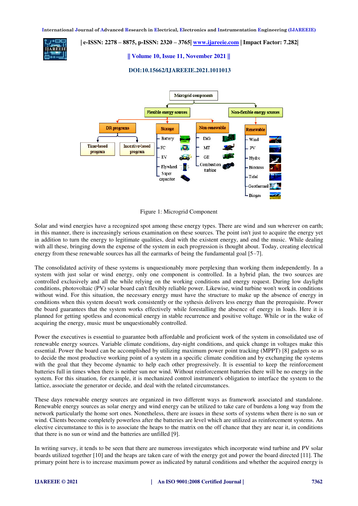#### **| e-ISSN: 2278 – 8875, p-ISSN: 2320 – 3765| [www.ijareeie.com](http://www.ijareeie.com/) | Impact Factor: 7.282|**

#### **|| Volume 10, Issue 11, November 2021 ||**

#### **DOI:10.15662/IJAREEIE.2021.1011013**



Figure 1: Microgrid Component

Solar and wind energies have a recognized spot among these energy types. There are wind and sun wherever on earth; in this manner, there is increasingly serious examination on these sources. The point isn't just to acquire the energy yet in addition to turn the energy to legitimate qualities, deal with the existent energy, and end the music. While dealing with all these, bringing down the expense of the system in each progression is thought about. Today, creating electrical energy from these renewable sources has all the earmarks of being the fundamental goal [5–7].

The consolidated activity of these systems is unquestionably more perplexing than working them independently. In a system with just solar or wind energy, only one component is controlled. In a hybrid plan, the two sources are controlled exclusively and all the while relying on the working conditions and energy request. During low daylight conditions, photovoltaic (PV) solar board can't flexibly reliable power. Likewise, wind turbine won't work in conditions without wind. For this situation, the necessary energy must have the structure to make up the absence of energy in conditions when this system doesn't work consistently or the sythesis delivers less energy than the prerequisite. Power the board guarantees that the system works effectively while forestalling the absence of energy in loads. Here it is planned for getting spotless and economical energy in stable recurrence and positive voltage. While or in the wake of acquiring the energy, music must be unquestionably controlled.

Power the executives is essential to guarantee both affordable and proficient work of the system in consolidated use of renewable energy sources. Variable climate conditions, day-night conditions, and quick change in voltages make this essential. Power the board can be accomplished by utilizing maximum power point tracking (MPPT) [8] gadgets so as to decide the most productive working point of a system in a specific climate condition and by exchanging the systems with the goal that they become dynamic to help each other progressively. It is essential to keep the reinforcement batteries full in times when there is neither sun nor wind. Without reinforcement batteries there will be no energy in the system. For this situation, for example, it is mechanized control instrument's obligation to interface the system to the lattice, associate the generator or decide, and deal with the related circumstances.

These days renewable energy sources are organized in two different ways as framework associated and standalone. Renewable energy sources as solar energy and wind energy can be utilized to take care of burdens a long way from the network particularly the home sort ones. Nonetheless, there are issues in these sorts of systems when there is no sun or wind. Clients become completely powerless after the batteries are level which are utilized as reinforcement systems. An elective circumstance to this is to associate the heaps to the matrix on the off chance that they are near it, in conditions that there is no sun or wind and the batteries are unfilled [9].

In writing survey, it tends to be seen that there are numerous investigates which incorporate wind turbine and PV solar boards utilized together [10] and the heaps are taken care of with the energy got and power the board directed [11]. The primary point here is to increase maximum power as indicated by natural conditions and whether the acquired energy is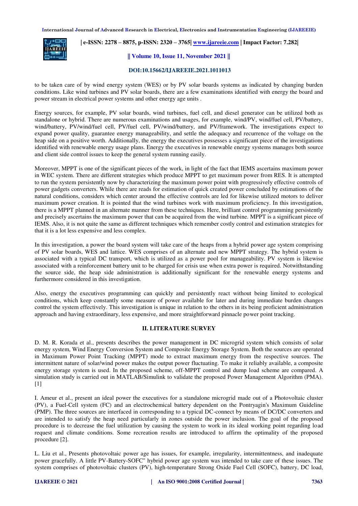

 **| e-ISSN: 2278 – 8875, p-ISSN: 2320 – 3765| [www.ijareeie.com](http://www.ijareeie.com/) | Impact Factor: 7.282|** 

#### **|| Volume 10, Issue 11, November 2021 ||**

#### **DOI:10.15662/IJAREEIE.2021.1011013**

to be taken care of by wind energy system (WES) or by PV solar boards systems as indicated by changing burden conditions. Like wind turbines and PV solar boards, there are a few examinations identified with energy the board and power stream in electrical power systems and other energy age units .

Energy sources, for example, PV solar boards, wind turbines, fuel cell, and diesel generator can be utilized both as standalone or hybrid. There are numerous examinations and usages, for example, wind/PV, wind/fuel cell, PV/battery, wind/battery, PV/wind/fuel cell, PV/fuel cell, PV/wind/battery, and PV/framework. The investigations expect to expand power quality, guarantee energy manageability, and settle the adequacy and recurrence of the voltage on the heap side on a positive worth. Additionally, the energy the executives possesses a significant piece of the investigations identified with renewable energy usage plans. Energy the executives in renewable energy systems manages both source and client side control issues to keep the general system running easily.

Moreover, MPPT is one of the significant pieces of the work, in light of the fact that IEMS ascertains maximum power in WEC system. There are different strategies which produce MPPT to get maximum power from RES. It is attempted to run the system persistently now by characterizing the maximum power point with progressively effective controls of power gadgets converters. While there are reads for estimation of quick created power concluded by estimations of the natural conditions, considers which center around the effective controls are led for likewise utilized motors to deliver maximum power creation. It is pointed that the wind turbines work with maximum proficiency. In this investigation, there is a MPPT planned in an alternate manner from these techniques. Here, brilliant control programming persistently and precisely ascertains the maximum power that can be acquired from the wind turbine. MPPT is a significant piece of IEMS. Also, it is not quite the same as different techniques which remember costly control and estimation strategies for that it is a lot less expensive and less complex.

In this investigation, a power the board system will take care of the heaps from a hybrid power age system comprising of PV solar boards, WES and lattice. WES comprises of an alternate and new MPPT strategy. The hybrid system is associated with a typical DC transport, which is utilized as a power pool for manageability. PV system is likewise associated with a reinforcement battery unit to be charged for crisis use when extra power is required. Notwithstanding the source side, the heap side administration is additionally significant for the renewable energy systems and furthermore considered in this investigation.

Also, energy the executives programming can quickly and persistently react without being limited to ecological conditions, which keep constantly some measure of power available for later and during immediate burden changes control the system effectively. This investigation is unique in relation to the others in its being proficient administration approach and having extraordinary, less expensive, and more straightforward pinnacle power point tracking.

#### **II. LITERATURE SURVEY**

D. M. R. Korada et al., presents describes the power management in DC microgrid system which consists of solar energy system, Wind Energy Conversion System and Composite Energy Storage System. Both the sources are operated in Maximum Power Point Tracking (MPPT) mode to extract maximum energy from the respective sources. The intermittent nature of solar/wind power makes the output power fluctuating. To make it reliably available, a composite energy storage system is used. In the proposed scheme, off-MPPT control and dump load scheme are compared. A simulation study is carried out in MATLAB/Simulink to validate the proposed Power Management Algorithm (PMA).  $[1]$ 

I. Ameur et al., present an ideal power the executives for a standalone microgrid made out of a Photovoltaic cluster (PV), a Fuel-Cell system (FC) and an electrochemical battery dependent on the Pontryagin's Maximum Guideline (PMP). The three sources are interfaced in corresponding to a typical DC-connect by means of DC/DC converters and are intended to satisfy the heap need particularly in zones outside the power inclusion. The goal of the proposed procedure is to decrease the fuel utilization by causing the system to work in its ideal working point regarding load request and climate conditions. Some recreation results are introduced to affirm the optimality of the proposed procedure [2].

L. Liu et al., Presents photovoltaic power age has issues, for example, irregularity, intermittentness, and inadequate power gracefully. A little PV-Battery-SOFC" hybrid power age system was intended to take care of these issues. The system comprises of photovoltaic clusters (PV), high-temperature Strong Oxide Fuel Cell (SOFC), battery, DC load,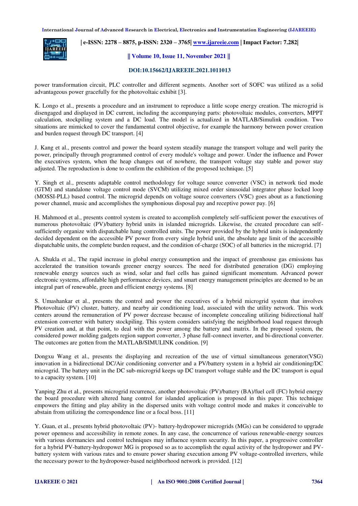

 **| e-ISSN: 2278 – 8875, p-ISSN: 2320 – 3765| [www.ijareeie.com](http://www.ijareeie.com/) | Impact Factor: 7.282|** 

#### **|| Volume 10, Issue 11, November 2021 ||**

#### **DOI:10.15662/IJAREEIE.2021.1011013**

power transformation circuit, PLC controller and different segments. Another sort of SOFC was utilized as a solid advantageous power gracefully for the photovoltaic exhibit [3].

K. Longo et al., presents a procedure and an instrument to reproduce a little scope energy creation. The microgrid is disengaged and displayed in DC current, including the accompanying parts: photovoltaic modules, converters, MPPT calculation, stockpiling system and a DC load. The model is actualized in MATLAB/Simulink condition. Two situations are mimicked to cover the fundamental control objective, for example the harmony between power creation and burden request through DC transport. [4]

J. Kang et al., presents control and power the board system steadily manage the transport voltage and well parity the power, principally through programmed control of every module's voltage and power. Under the influence and Power the executives system, when the heap changes out of nowhere, the transport voltage stay stable and power stay adjusted. The reproduction is done to confirm the exhibition of the proposed technique. [5]

Y. Singh et al., presents adaptable control methodology for voltage source converter (VSC) in network tied mode (GTM) and standalone voltage control mode (SVCM) utilizing mixed order sinusoidal integrator phase locked loop (MOSSI-PLL) based control. The microgrid depends on voltage source converters (VSC) goes about as a functioning power channel, music and accomplishes the symphonious disposal pay and receptive power pay. [6]

H. Mahmood et al., presents control system is created to accomplish completely self-sufficient power the executives of numerous photovoltaic (PV)/battery hybrid units in islanded microgrids. Likewise, the created procedure can selfsufficiently organize with dispatchable hang controlled units. The power provided by the hybrid units is independently decided dependent on the accessible PV power from every single hybrid unit, the absolute age limit of the accessible dispatchable units, the complete burden request, and the condition of-charge (SOC) of all batteries in the microgrid. [7]

A. Shukla et al., The rapid increase in global energy consumption and the impact of greenhouse gas emissions has accelerated the transition towards greener energy sources. The need for distributed generation (DG) employing renewable energy sources such as wind, solar and fuel cells has gained significant momentum. Advanced power electronic systems, affordable high performance devices, and smart energy management principles are deemed to be an integral part of renewable, green and efficient energy systems. [8]

S. Umashankar et al., presents the control and power the executives of a hybrid microgrid system that involves Photovoltaic (PV) cluster, battery, and nearby air conditioning load, associated with the utility network. This work centers around the remuneration of PV power decrease because of incomplete concealing utilizing bidirectional half extension converter with battery stockpiling. This system considers satisfying the neighborhood load request through PV creation and, at that point, to deal with the power among the battery and matrix. In the proposed system, the considered power molding gadgets region support converter, 3 phase full-connect inverter, and bi-directional converter. The outcomes are gotten from the MATLAB/SIMULINK condition. [9]

Dongxu Wang et al., presents the displaying and recreation of the use of virtual simultaneous generator(VSG) innovation in a bidirectional DC/Air conditioning converter and a PV/battery system in a hybrid air conditioning/DC microgrid. The battery unit in the DC sub-microgrid keeps up DC transport voltage stable and the DC transport is equal to a capacity system. [10]

Yanping Zhu et al., presents microgrid recurrence, another photovoltaic (PV)/battery (BA)/fuel cell (FC) hybrid energy the board procedure with altered hang control for islanded application is proposed in this paper. This technique empowers the fitting and play ability in the dispersed units with voltage control mode and makes it conceivable to abstain from utilizing the correspondence line or a focal boss. [11]

Y. Guan, et al., presents hybrid photovoltaic (PV)- battery-hydropower microgrids (MGs) can be considered to upgrade power openness and accessibility in remote zones. In any case, the concurrence of various renewable-energy sources with various dormancies and control techniques may influence system security. In this paper, a progressive controller for a hybrid PV-battery-hydropower MG is proposed so as to accomplish the equal activity of the hydropower and PVbattery system with various rates and to ensure power sharing execution among PV voltage-controlled inverters, while the necessary power to the hydropower-based neighborhood network is provided. [12]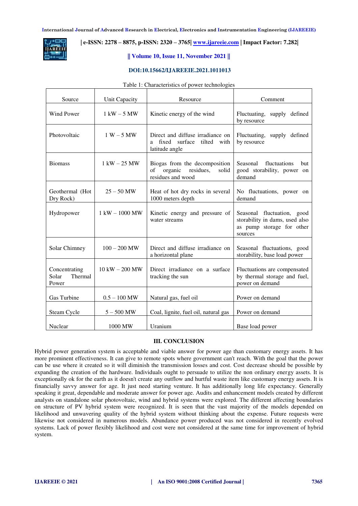

#### **| e-ISSN: 2278 – 8875, p-ISSN: 2320 – 3765| [www.ijareeie.com](http://www.ijareeie.com/) | Impact Factor: 7.282|**

#### **|| Volume 10, Issue 11, November 2021 ||**

#### **DOI:10.15662/IJAREEIE.2021.1011013**

| Source                                     | <b>Unit Capacity</b>             | Resource                                                                                   | Comment                                                                                              |
|--------------------------------------------|----------------------------------|--------------------------------------------------------------------------------------------|------------------------------------------------------------------------------------------------------|
| <b>Wind Power</b>                          | $1 \text{ kW} - 5 \text{ MW}$    | Kinetic energy of the wind                                                                 | Fluctuating, supply defined<br>by resource                                                           |
| Photovoltaic                               | $1 W - 5 MW$                     | Direct and diffuse irradiance on<br>fixed<br>surface tilted<br>with<br>a<br>latitude angle | Fluctuating, supply defined<br>by resource                                                           |
| <b>Biomass</b>                             | $1 \text{ kW} - 25 \text{ MW}$   | Biogas from the decomposition<br>organic<br>residues,<br>of<br>solid<br>residues and wood  | fluctuations<br>Seasonal<br>but<br>good storability, power on<br>demand                              |
| Geothermal (Hot<br>Dry Rock)               | $25 - 50$ MW                     | Heat of hot dry rocks in several<br>1000 meters depth                                      | No fluctuations, power on<br>demand                                                                  |
| Hydropower                                 | $1 \text{ kW} - 1000 \text{ MW}$ | Kinetic energy and pressure of<br>water streams                                            | Seasonal fluctuation, good<br>storability in dams, used also<br>as pump storage for other<br>sources |
| Solar Chimney                              | $100 - 200$ MW                   | Direct and diffuse irradiance on<br>a horizontal plane                                     | Seasonal fluctuations, good<br>storability, base load power                                          |
| Concentrating<br>Thermal<br>Solar<br>Power | $10$ kW $- 200$ MW               | Direct irradiance on a surface<br>tracking the sun                                         | Fluctuations are compensated<br>by thermal storage and fuel,<br>power on demand                      |
| Gas Turbine                                | $0.5 - 100$ MW                   | Natural gas, fuel oil                                                                      | Power on demand                                                                                      |
| Steam Cycle                                | $5 - 500$ MW                     | Coal, lignite, fuel oil, natural gas                                                       | Power on demand                                                                                      |
| Nuclear                                    | 1000 MW                          | Uranium                                                                                    | Base load power                                                                                      |

#### Table 1: Characteristics of power technologies

#### **III. CONCLUSION**

Hybrid power generation system is acceptable and viable answer for power age than customary energy assets. It has more prominent effectiveness. It can give to remote spots where government can't reach. With the goal that the power can be use where it created so it will diminish the transmission losses and cost. Cost decrease should be possible by expanding the creation of the hardware. Individuals ought to persuade to utilize the non ordinary energy assets. It is exceptionally ok for the earth as it doesn't create any outflow and hurtful waste item like customary energy assets. It is financially savvy answer for age. It just need starting venture. It has additionally long life expectancy. Generally speaking it great, dependable and moderate answer for power age. Audits and enhancement models created by different analysts on standalone solar photovoltaic, wind and hybrid systems were explored. The different affecting boundaries on structure of PV hybrid system were recognized. It is seen that the vast majority of the models depended on likelihood and unwavering quality of the hybrid system without thinking about the expense. Future requests were likewise not considered in numerous models. Abundance power produced was not considered in recently evolved systems. Lack of power flexibly likelihood and cost were not considered at the same time for improvement of hybrid system.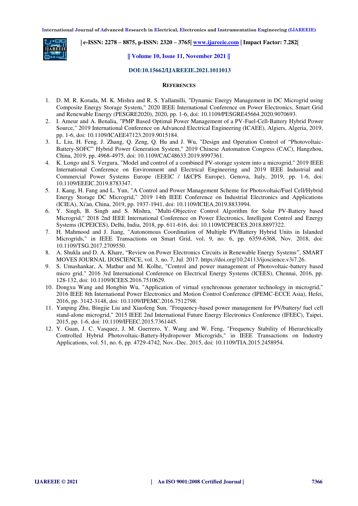**| e-ISSN: 2278 – 8875, p-ISSN: 2320 – 3765| [www.ijareeie.com](http://www.ijareeie.com/) | Impact Factor: 7.282|** 



#### **|| Volume 10, Issue 11, November 2021 ||**

#### **DOI:10.15662/IJAREEIE.2021.1011013**

#### **REFERENCES**

- 1. D. M. R. Korada, M. K. Mishra and R. S. Yallamilli, "Dynamic Energy Management in DC Microgrid using Composite Energy Storage System," 2020 IEEE International Conference on Power Electronics, Smart Grid and Renewable Energy (PESGRE2020), 2020, pp. 1-6, doi: 10.1109/PESGRE45664.2020.9070693.
- 2. I. Ameur and A. Benalia, "PMP Based Optimal Power Management of a PV-Fuel-Cell-Battery Hybrid Power Source," 2019 International Conference on Advanced Electrical Engineering (ICAEE), Algiers, Algeria, 2019, pp. 1-6, doi: 10.1109/ICAEE47123.2019.9015184.
- 3. L. Liu, H. Feng, J. Zhang, Q. Zeng, Q. Hu and J. Wu, "Design and Operation Control of "Photovoltaic-Battery-SOFC" Hybrid Power Generation System," 2019 Chinese Automation Congress (CAC), Hangzhou, China, 2019, pp. 4968-4975, doi: 10.1109/CAC48633.2019.8997361.
- 4. K. Longo and S. Vergura, "Model and control of a combined PV-storage system into a microgrid," 2019 IEEE International Conference on Environment and Electrical Engineering and 2019 IEEE Industrial and Commercial Power Systems Europe (EEEIC / I&CPS Europe), Genova, Italy, 2019, pp. 1-6, doi: 10.1109/EEEIC.2019.8783347.
- 5. J. Kang, H. Fang and L. Yun, "A Control and Power Management Scheme for Photovoltaic/Fuel Cell/Hybrid Energy Storage DC Microgrid," 2019 14th IEEE Conference on Industrial Electronics and Applications (ICIEA), Xi'an, China, 2019, pp. 1937-1941, doi: 10.1109/ICIEA.2019.8833994.
- 6. Y. Singh, B. Singh and S. Mishra, "Multi-Objective Control Algorithm for Solar PV-Battery based Microgrid," 2018 2nd IEEE International Conference on Power Electronics, Intelligent Control and Energy Systems (ICPEICES), Delhi, India, 2018, pp. 611-616, doi: 10.1109/ICPEICES.2018.8897322.
- 7. H. Mahmood and J. Jiang, "Autonomous Coordination of Multiple PV/Battery Hybrid Units in Islanded Microgrids," in IEEE Transactions on Smart Grid, vol. 9, no. 6, pp. 6359-6368, Nov. 2018, doi: 10.1109/TSG.2017.2709550.
- 8. A. Shukla and D. A. Khare, "Review on Power Electronics Circuits in Renewable Energy Systems", SMART MOVES JOURNAL IJOSCIENCE, vol. 3, no. 7, Jul. 2017. https://doi.org/10.24113/ijoscience.v3i7.26.
- 9. S. Umashankar, A. Mathur and M. Kolhe, "Control and power management of Photovoltaic-battery based micro grid," 2016 3rd International Conference on Electrical Energy Systems (ICEES), Chennai, 2016, pp. 128-132, doi: 10.1109/ICEES.2016.7510629.
- 10. Dongxu Wang and Hongbin Wu, "Application of virtual synchronous generator technology in microgrid," 2016 IEEE 8th International Power Electronics and Motion Control Conference (IPEMC-ECCE Asia), Hefei, 2016, pp. 3142-3148, doi: 10.1109/IPEMC.2016.7512798.
- 11. Yanping Zhu, Bingjie Liu and Xiaofeng Sun, "Frequency-based power management for PV/battery/ fuel cell stand-alone microgrid," 2015 IEEE 2nd International Future Energy Electronics Conference (IFEEC), Taipei, 2015, pp. 1-6, doi: 10.1109/IFEEC.2015.7361445.
- 12. Y. Guan, J. C. Vasquez, J. M. Guerrero, Y. Wang and W. Feng, "Frequency Stability of Hierarchically Controlled Hybrid Photovoltaic-Battery-Hydropower Microgrids," in IEEE Transactions on Industry Applications, vol. 51, no. 6, pp. 4729-4742, Nov.-Dec. 2015, doi: 10.1109/TIA.2015.2458954.